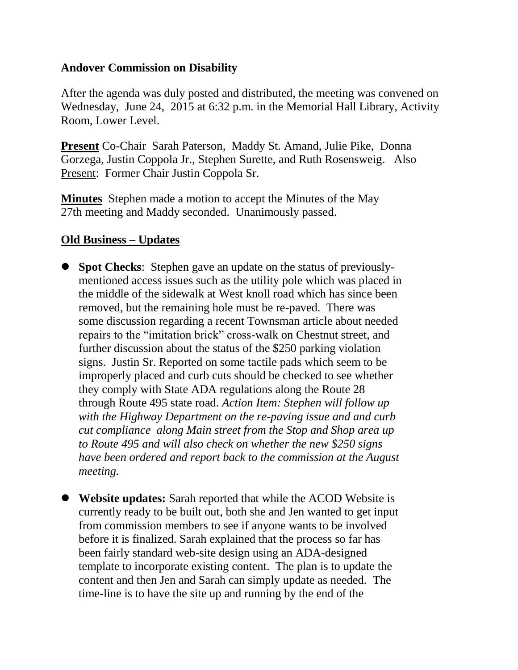## **Andover Commission on Disability**

After the agenda was duly posted and distributed, the meeting was convened on Wednesday, June 24, 2015 at 6:32 p.m. in the Memorial Hall Library, Activity Room, Lower Level.

**Present** Co-Chair Sarah Paterson, Maddy St. Amand, Julie Pike, Donna Gorzega, Justin Coppola Jr., Stephen Surette, and Ruth Rosensweig. Also Present: Former Chair Justin Coppola Sr.

**Minutes** Stephen made a motion to accept the Minutes of the May 27th meeting and Maddy seconded. Unanimously passed.

## **Old Business – Updates**

- **Spot Checks**: Stephen gave an update on the status of previouslymentioned access issues such as the utility pole which was placed in the middle of the sidewalk at West knoll road which has since been removed, but the remaining hole must be re-paved. There was some discussion regarding a recent Townsman article about needed repairs to the "imitation brick" cross-walk on Chestnut street, and further discussion about the status of the \$250 parking violation signs. Justin Sr. Reported on some tactile pads which seem to be improperly placed and curb cuts should be checked to see whether they comply with State ADA regulations along the Route 28 through Route 495 state road. *Action Item: Stephen will follow up with the Highway Department on the re-paving issue and and curb cut compliance along Main street from the Stop and Shop area up to Route 495 and will also check on whether the new \$250 signs have been ordered and report back to the commission at the August meeting.*
- **Website updates:** Sarah reported that while the ACOD Website is currently ready to be built out, both she and Jen wanted to get input from commission members to see if anyone wants to be involved before it is finalized. Sarah explained that the process so far has been fairly standard web-site design using an ADA-designed template to incorporate existing content. The plan is to update the content and then Jen and Sarah can simply update as needed. The time-line is to have the site up and running by the end of the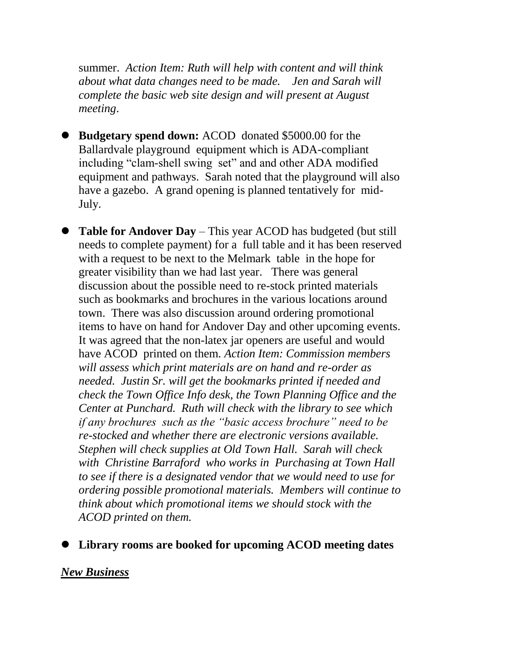summer. *Action Item: Ruth will help with content and will think about what data changes need to be made. Jen and Sarah will complete the basic web site design and will present at August meeting*.

- **Budgetary spend down:** ACOD donated \$5000.00 for the Ballardvale playground equipment which is ADA-compliant including "clam-shell swing set" and and other ADA modified equipment and pathways. Sarah noted that the playground will also have a gazebo. A grand opening is planned tentatively for mid-July.
- **Table for Andover Day** This year ACOD has budgeted (but still needs to complete payment) for a full table and it has been reserved with a request to be next to the Melmark table in the hope for greater visibility than we had last year. There was general discussion about the possible need to re-stock printed materials such as bookmarks and brochures in the various locations around town. There was also discussion around ordering promotional items to have on hand for Andover Day and other upcoming events. It was agreed that the non-latex jar openers are useful and would have ACOD printed on them. *Action Item: Commission members will assess which print materials are on hand and re-order as needed. Justin Sr. will get the bookmarks printed if needed and check the Town Office Info desk, the Town Planning Office and the Center at Punchard. Ruth will check with the library to see which if any brochures such as the "basic access brochure" need to be re-stocked and whether there are electronic versions available. Stephen will check supplies at Old Town Hall. Sarah will check with Christine Barraford who works in Purchasing at Town Hall to see if there is a designated vendor that we would need to use for ordering possible promotional materials. Members will continue to think about which promotional items we should stock with the ACOD printed on them.*
- **Library rooms are booked for upcoming ACOD meeting dates**

## *New Business*